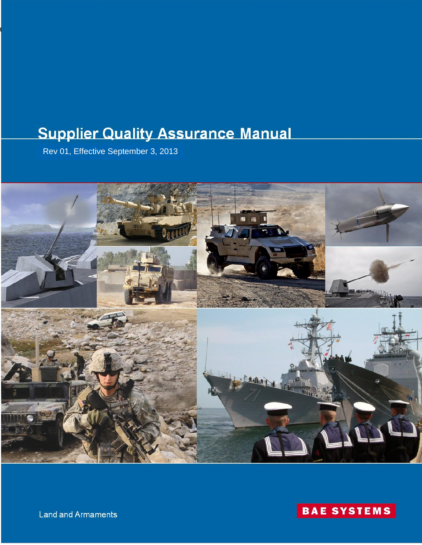# **Supplier Quality Assurance Manual**

Rev 01, Effective September 3, 2013

095870, Rev. 01, 03 September 2013





Land and Armaments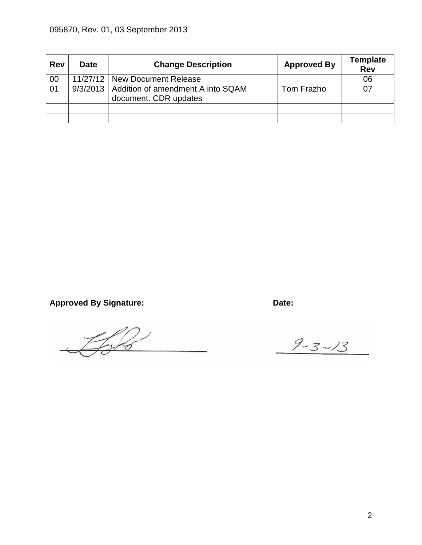| <b>Rev</b> | <b>Date</b> | <b>Change Description</b>                                             | <b>Approved By</b> | <b>Template</b><br><b>Rev</b> |
|------------|-------------|-----------------------------------------------------------------------|--------------------|-------------------------------|
| 00         |             | 11/27/12   New Document Release                                       |                    | 06                            |
| 01         |             | 9/3/2013   Addition of amendment A into SQAM<br>document. CDR updates | Tom Frazho         |                               |
|            |             |                                                                       |                    |                               |
|            |             |                                                                       |                    |                               |

Approved By Signature: **Date: Date: Date:** 

 $\frac{2}{3}$ 

 $9 - 3 - 13$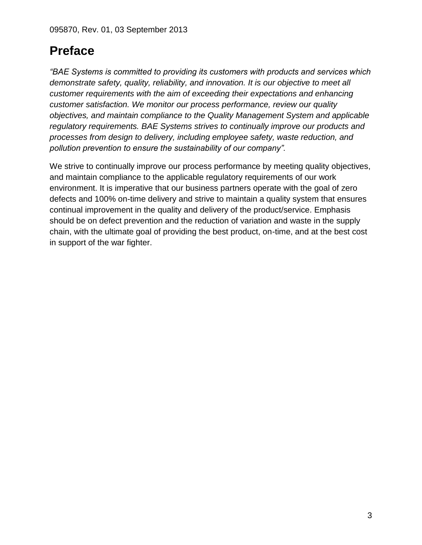# **Preface**

*"BAE Systems is committed to providing its customers with products and services which demonstrate safety, quality, reliability, and innovation. It is our objective to meet all customer requirements with the aim of exceeding their expectations and enhancing customer satisfaction. We monitor our process performance, review our quality objectives, and maintain compliance to the Quality Management System and applicable regulatory requirements. BAE Systems strives to continually improve our products and processes from design to delivery, including employee safety, waste reduction, and pollution prevention to ensure the sustainability of our company".* 

We strive to continually improve our process performance by meeting quality objectives, and maintain compliance to the applicable regulatory requirements of our work environment. It is imperative that our business partners operate with the goal of zero defects and 100% on-time delivery and strive to maintain a quality system that ensures continual improvement in the quality and delivery of the product/service. Emphasis should be on defect prevention and the reduction of variation and waste in the supply chain, with the ultimate goal of providing the best product, on-time, and at the best cost in support of the war fighter.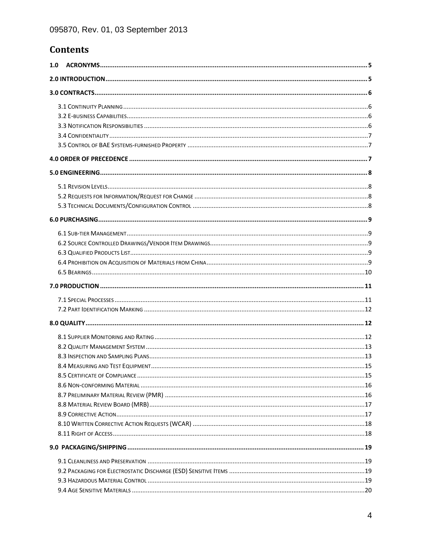# **Contents**

| 1.0 |  |  |  |  |  |  |
|-----|--|--|--|--|--|--|
|     |  |  |  |  |  |  |
|     |  |  |  |  |  |  |
|     |  |  |  |  |  |  |
|     |  |  |  |  |  |  |
|     |  |  |  |  |  |  |
|     |  |  |  |  |  |  |
|     |  |  |  |  |  |  |
|     |  |  |  |  |  |  |
|     |  |  |  |  |  |  |
|     |  |  |  |  |  |  |
|     |  |  |  |  |  |  |
|     |  |  |  |  |  |  |
|     |  |  |  |  |  |  |
|     |  |  |  |  |  |  |
|     |  |  |  |  |  |  |
|     |  |  |  |  |  |  |
|     |  |  |  |  |  |  |
|     |  |  |  |  |  |  |
|     |  |  |  |  |  |  |
|     |  |  |  |  |  |  |
|     |  |  |  |  |  |  |
|     |  |  |  |  |  |  |
|     |  |  |  |  |  |  |
|     |  |  |  |  |  |  |
|     |  |  |  |  |  |  |
|     |  |  |  |  |  |  |
|     |  |  |  |  |  |  |
|     |  |  |  |  |  |  |
|     |  |  |  |  |  |  |
|     |  |  |  |  |  |  |
|     |  |  |  |  |  |  |
|     |  |  |  |  |  |  |
|     |  |  |  |  |  |  |
|     |  |  |  |  |  |  |
|     |  |  |  |  |  |  |
|     |  |  |  |  |  |  |
|     |  |  |  |  |  |  |
|     |  |  |  |  |  |  |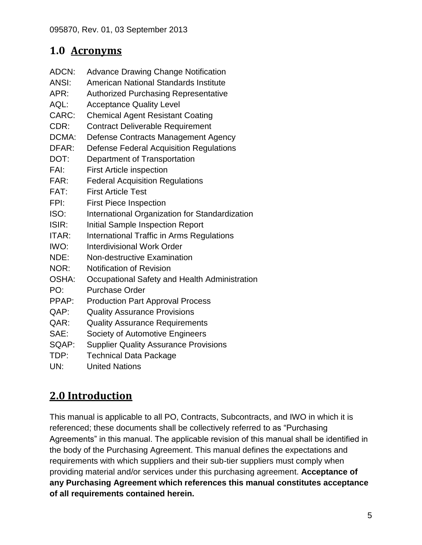# <span id="page-4-0"></span>**1.0 Acronyms**

- ADCN: Advance Drawing Change Notification
- ANSI: American National Standards Institute
- APR: Authorized Purchasing Representative
- AQL: Acceptance Quality Level
- CARC: Chemical Agent Resistant Coating
- CDR: Contract Deliverable Requirement
- DCMA: Defense Contracts Management Agency
- DFAR: Defense Federal Acquisition Regulations
- DOT: Department of Transportation
- FAI: First Article inspection
- FAR: Federal Acquisition Regulations
- FAT: First Article Test
- FPI: First Piece Inspection
- ISO: International Organization for Standardization
- ISIR: Initial Sample Inspection Report
- ITAR: International Traffic in Arms Regulations
- IWO: Interdivisional Work Order
- NDE: Non-destructive Examination
- NOR: Notification of Revision
- OSHA: Occupational Safety and Health Administration
- PO: Purchase Order
- PPAP: Production Part Approval Process
- QAP: Quality Assurance Provisions
- QAR: Quality Assurance Requirements
- SAE: Society of Automotive Engineers
- SQAP: Supplier Quality Assurance Provisions
- TDP: Technical Data Package
- UN: United Nations

# <span id="page-4-1"></span>**2.0 Introduction**

This manual is applicable to all PO, Contracts, Subcontracts, and IWO in which it is referenced; these documents shall be collectively referred to as "Purchasing Agreements" in this manual. The applicable revision of this manual shall be identified in the body of the Purchasing Agreement. This manual defines the expectations and requirements with which suppliers and their sub-tier suppliers must comply when providing material and/or services under this purchasing agreement. **Acceptance of any Purchasing Agreement which references this manual constitutes acceptance of all requirements contained herein.**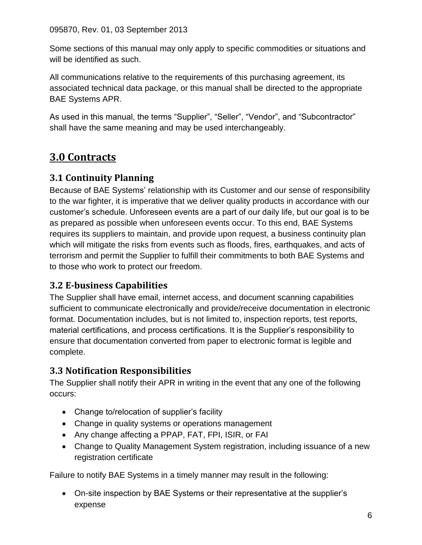Some sections of this manual may only apply to specific commodities or situations and will be identified as such.

All communications relative to the requirements of this purchasing agreement, its associated technical data package, or this manual shall be directed to the appropriate BAE Systems APR.

As used in this manual, the terms "Supplier", "Seller", "Vendor", and "Subcontractor" shall have the same meaning and may be used interchangeably.

# <span id="page-5-0"></span>**3.0 Contracts**

#### <span id="page-5-1"></span>**3.1 Continuity Planning**

Because of BAE Systems' relationship with its Customer and our sense of responsibility to the war fighter, it is imperative that we deliver quality products in accordance with our customer's schedule. Unforeseen events are a part of our daily life, but our goal is to be as prepared as possible when unforeseen events occur. To this end, BAE Systems requires its suppliers to maintain, and provide upon request, a business continuity plan which will mitigate the risks from events such as floods, fires, earthquakes, and acts of terrorism and permit the Supplier to fulfill their commitments to both BAE Systems and to those who work to protect our freedom.

### <span id="page-5-2"></span>**3.2 E-business Capabilities**

The Supplier shall have email, internet access, and document scanning capabilities sufficient to communicate electronically and provide/receive documentation in electronic format. Documentation includes, but is not limited to, inspection reports, test reports, material certifications, and process certifications. It is the Supplier's responsibility to ensure that documentation converted from paper to electronic format is legible and complete.

#### <span id="page-5-3"></span>**3.3 Notification Responsibilities**

The Supplier shall notify their APR in writing in the event that any one of the following occurs:

- Change to/relocation of supplier's facility
- Change in quality systems or operations management
- Any change affecting a PPAP, FAT, FPI, ISIR, or FAI
- Change to Quality Management System registration, including issuance of a new registration certificate

Failure to notify BAE Systems in a timely manner may result in the following:

 On-site inspection by BAE Systems or their representative at the supplier's expense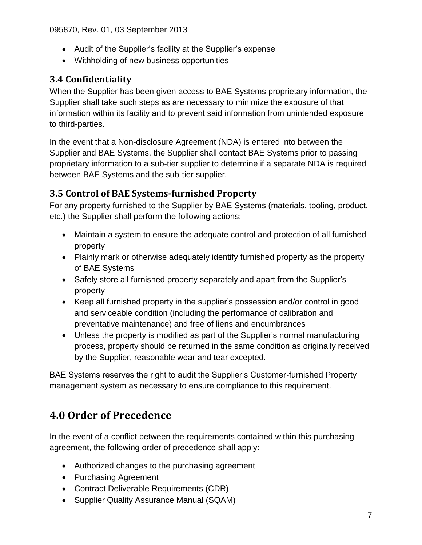- Audit of the Supplier's facility at the Supplier's expense
- Withholding of new business opportunities

#### <span id="page-6-0"></span>**3.4 Confidentiality**

When the Supplier has been given access to BAE Systems proprietary information, the Supplier shall take such steps as are necessary to minimize the exposure of that information within its facility and to prevent said information from unintended exposure to third-parties.

In the event that a Non-disclosure Agreement (NDA) is entered into between the Supplier and BAE Systems, the Supplier shall contact BAE Systems prior to passing proprietary information to a sub-tier supplier to determine if a separate NDA is required between BAE Systems and the sub-tier supplier.

### <span id="page-6-1"></span>**3.5 Control of BAE Systems-furnished Property**

For any property furnished to the Supplier by BAE Systems (materials, tooling, product, etc.) the Supplier shall perform the following actions:

- Maintain a system to ensure the adequate control and protection of all furnished property
- Plainly mark or otherwise adequately identify furnished property as the property of BAE Systems
- Safely store all furnished property separately and apart from the Supplier's property
- Keep all furnished property in the supplier's possession and/or control in good and serviceable condition (including the performance of calibration and preventative maintenance) and free of liens and encumbrances
- Unless the property is modified as part of the Supplier's normal manufacturing process, property should be returned in the same condition as originally received by the Supplier, reasonable wear and tear excepted.

BAE Systems reserves the right to audit the Supplier's Customer-furnished Property management system as necessary to ensure compliance to this requirement.

# <span id="page-6-2"></span>**4.0 Order of Precedence**

In the event of a conflict between the requirements contained within this purchasing agreement, the following order of precedence shall apply:

- Authorized changes to the purchasing agreement
- Purchasing Agreement
- Contract Deliverable Requirements (CDR)
- Supplier Quality Assurance Manual (SQAM)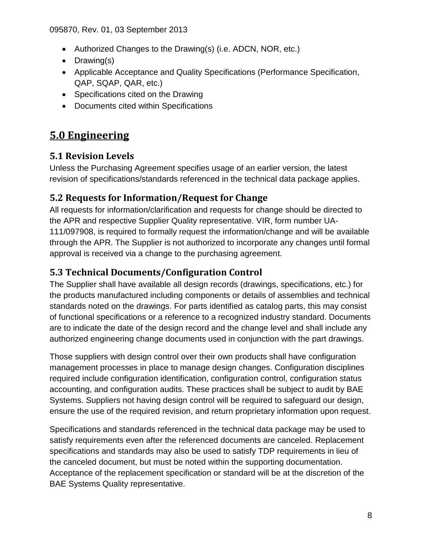- Authorized Changes to the Drawing(s) (i.e. ADCN, NOR, etc.)
- Drawing(s)
- Applicable Acceptance and Quality Specifications (Performance Specification, QAP, SQAP, QAR, etc.)
- Specifications cited on the Drawing
- Documents cited within Specifications

# <span id="page-7-0"></span>**5.0 Engineering**

### <span id="page-7-1"></span>**5.1 Revision Levels**

Unless the Purchasing Agreement specifies usage of an earlier version, the latest revision of specifications/standards referenced in the technical data package applies.

#### <span id="page-7-2"></span>**5.2 Requests for Information/Request for Change**

All requests for information/clarification and requests for change should be directed to the APR and respective Supplier Quality representative. VIR, form number UA-111/097908, is required to formally request the information/change and will be available through the APR. The Supplier is not authorized to incorporate any changes until formal approval is received via a change to the purchasing agreement.

#### <span id="page-7-3"></span>**5.3 Technical Documents/Configuration Control**

The Supplier shall have available all design records (drawings, specifications, etc.) for the products manufactured including components or details of assemblies and technical standards noted on the drawings. For parts identified as catalog parts, this may consist of functional specifications or a reference to a recognized industry standard. Documents are to indicate the date of the design record and the change level and shall include any authorized engineering change documents used in conjunction with the part drawings.

Those suppliers with design control over their own products shall have configuration management processes in place to manage design changes. Configuration disciplines required include configuration identification, configuration control, configuration status accounting, and configuration audits. These practices shall be subject to audit by BAE Systems. Suppliers not having design control will be required to safeguard our design, ensure the use of the required revision, and return proprietary information upon request.

Specifications and standards referenced in the technical data package may be used to satisfy requirements even after the referenced documents are canceled. Replacement specifications and standards may also be used to satisfy TDP requirements in lieu of the canceled document, but must be noted within the supporting documentation. Acceptance of the replacement specification or standard will be at the discretion of the BAE Systems Quality representative.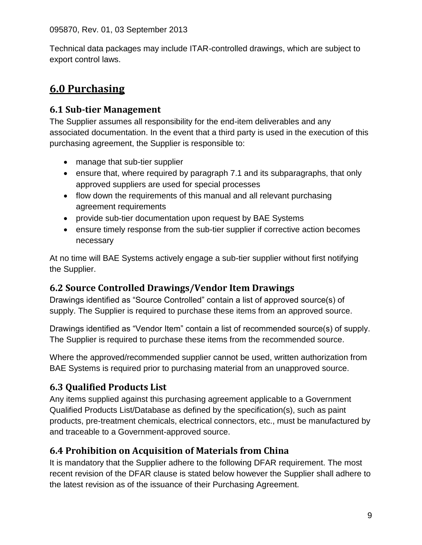Technical data packages may include ITAR-controlled drawings, which are subject to export control laws.

# <span id="page-8-0"></span>**6.0 Purchasing**

#### <span id="page-8-1"></span>**6.1 Sub-tier Management**

The Supplier assumes all responsibility for the end-item deliverables and any associated documentation. In the event that a third party is used in the execution of this purchasing agreement, the Supplier is responsible to:

- manage that sub-tier supplier
- ensure that, where required by paragraph 7.1 and its subparagraphs, that only approved suppliers are used for special processes
- flow down the requirements of this manual and all relevant purchasing agreement requirements
- provide sub-tier documentation upon request by BAE Systems
- ensure timely response from the sub-tier supplier if corrective action becomes necessary

At no time will BAE Systems actively engage a sub-tier supplier without first notifying the Supplier.

# <span id="page-8-2"></span>**6.2 Source Controlled Drawings/Vendor Item Drawings**

Drawings identified as "Source Controlled" contain a list of approved source(s) of supply. The Supplier is required to purchase these items from an approved source.

Drawings identified as "Vendor Item" contain a list of recommended source(s) of supply. The Supplier is required to purchase these items from the recommended source.

Where the approved/recommended supplier cannot be used, written authorization from BAE Systems is required prior to purchasing material from an unapproved source.

# <span id="page-8-3"></span>**6.3 Qualified Products List**

Any items supplied against this purchasing agreement applicable to a Government Qualified Products List/Database as defined by the specification(s), such as paint products, pre-treatment chemicals, electrical connectors, etc., must be manufactured by and traceable to a Government-approved source.

# <span id="page-8-4"></span>**6.4 Prohibition on Acquisition of Materials from China**

It is mandatory that the Supplier adhere to the following DFAR requirement. The most recent revision of the DFAR clause is stated below however the Supplier shall adhere to the latest revision as of the issuance of their Purchasing Agreement.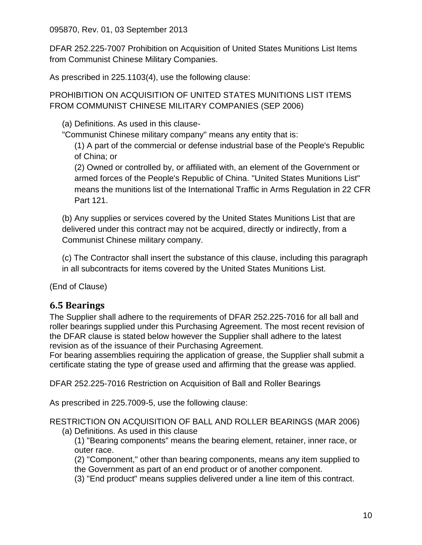DFAR 252.225-7007 Prohibition on Acquisition of United States Munitions List Items from Communist Chinese Military Companies.

As prescribed in 225.1103(4), use the following clause:

PROHIBITION ON ACQUISITION OF UNITED STATES MUNITIONS LIST ITEMS FROM COMMUNIST CHINESE MILITARY COMPANIES (SEP 2006)

(a) Definitions. As used in this clause-

"Communist Chinese military company" means any entity that is:

(1) A part of the commercial or defense industrial base of the People's Republic of China; or

(2) Owned or controlled by, or affiliated with, an element of the Government or armed forces of the People's Republic of China. "United States Munitions List" means the munitions list of the International Traffic in Arms Regulation in 22 CFR Part 121.

(b) Any supplies or services covered by the United States Munitions List that are delivered under this contract may not be acquired, directly or indirectly, from a Communist Chinese military company.

(c) The Contractor shall insert the substance of this clause, including this paragraph in all subcontracts for items covered by the United States Munitions List.

(End of Clause)

#### <span id="page-9-0"></span>**6.5 Bearings**

The Supplier shall adhere to the requirements of DFAR 252.225-7016 for all ball and roller bearings supplied under this Purchasing Agreement. The most recent revision of the DFAR clause is stated below however the Supplier shall adhere to the latest revision as of the issuance of their Purchasing Agreement.

For bearing assemblies requiring the application of grease, the Supplier shall submit a certificate stating the type of grease used and affirming that the grease was applied.

DFAR 252.225-7016 Restriction on Acquisition of Ball and Roller Bearings

As prescribed in 225.7009-5, use the following clause:

RESTRICTION ON ACQUISITION OF BALL AND ROLLER BEARINGS (MAR 2006) (a) Definitions. As used in this clause

- (1) "Bearing components" means the bearing element, retainer, inner race, or outer race.
- (2) "Component," other than bearing components, means any item supplied to the Government as part of an end product or of another component.
- (3) "End product" means supplies delivered under a line item of this contract.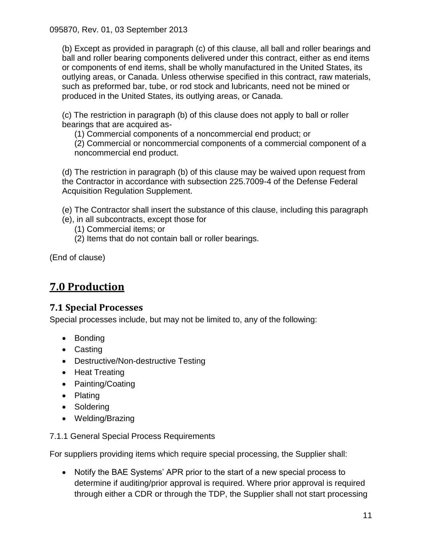(b) Except as provided in paragraph (c) of this clause, all ball and roller bearings and ball and roller bearing components delivered under this contract, either as end items or components of end items, shall be wholly manufactured in the United States, its outlying areas, or Canada. Unless otherwise specified in this contract, raw materials, such as preformed bar, tube, or rod stock and lubricants, need not be mined or produced in the United States, its outlying areas, or Canada.

(c) The restriction in paragraph (b) of this clause does not apply to ball or roller bearings that are acquired as-

(1) Commercial components of a noncommercial end product; or

(2) Commercial or noncommercial components of a commercial component of a noncommercial end product.

(d) The restriction in paragraph (b) of this clause may be waived upon request from the Contractor in accordance with subsection 225.7009-4 of the Defense Federal Acquisition Regulation Supplement.

(e) The Contractor shall insert the substance of this clause, including this paragraph

- (e), in all subcontracts, except those for
	- (1) Commercial items; or
	- (2) Items that do not contain ball or roller bearings.

(End of clause)

# <span id="page-10-0"></span>**7.0 Production**

#### <span id="page-10-1"></span>**7.1 Special Processes**

Special processes include, but may not be limited to, any of the following:

- Bonding
- Casting
- Destructive/Non-destructive Testing
- Heat Treating
- Painting/Coating
- Plating
- Soldering
- Welding/Brazing

#### 7.1.1 General Special Process Requirements

For suppliers providing items which require special processing, the Supplier shall:

 Notify the BAE Systems' APR prior to the start of a new special process to determine if auditing/prior approval is required. Where prior approval is required through either a CDR or through the TDP, the Supplier shall not start processing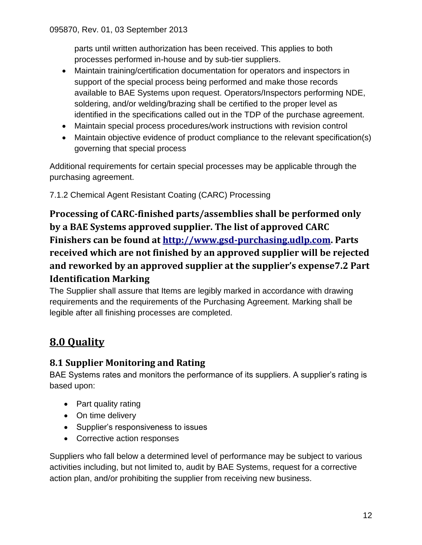parts until written authorization has been received. This applies to both processes performed in-house and by sub-tier suppliers.

- Maintain training/certification documentation for operators and inspectors in support of the special process being performed and make those records available to BAE Systems upon request. Operators/Inspectors performing NDE, soldering, and/or welding/brazing shall be certified to the proper level as identified in the specifications called out in the TDP of the purchase agreement.
- Maintain special process procedures/work instructions with revision control
- Maintain objective evidence of product compliance to the relevant specification(s) governing that special process

Additional requirements for certain special processes may be applicable through the purchasing agreement.

7.1.2 Chemical Agent Resistant Coating (CARC) Processing

**Processing of CARC-finished parts/assemblies shall be performed only by a BAE Systems approved supplier. The list of approved CARC Finishers can be found at [http://www.gsd-purchasing.udlp.com.](http://www.gsd-purchasing.udlp.com/) Parts received which are not finished by an approved supplier will be rejected and reworked by an approved supplier at the supplier's expense7.2 Part Identification Marking**

<span id="page-11-0"></span>The Supplier shall assure that Items are legibly marked in accordance with drawing requirements and the requirements of the Purchasing Agreement. Marking shall be legible after all finishing processes are completed.

# <span id="page-11-1"></span>**8.0 Quality**

### <span id="page-11-2"></span>**8.1 Supplier Monitoring and Rating**

BAE Systems rates and monitors the performance of its suppliers. A supplier's rating is based upon:

- Part quality rating
- On time delivery
- Supplier's responsiveness to issues
- Corrective action responses

Suppliers who fall below a determined level of performance may be subject to various activities including, but not limited to, audit by BAE Systems, request for a corrective action plan, and/or prohibiting the supplier from receiving new business.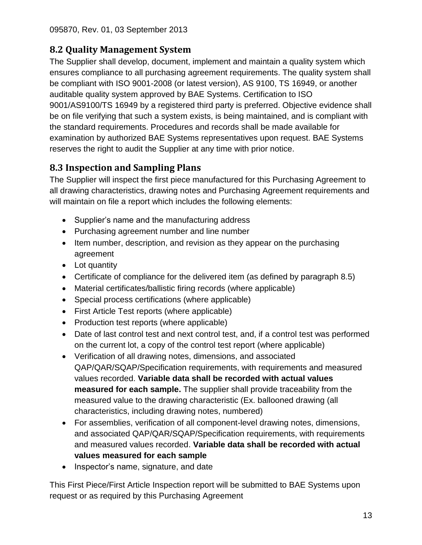# <span id="page-12-0"></span>**8.2 Quality Management System**

The Supplier shall develop, document, implement and maintain a quality system which ensures compliance to all purchasing agreement requirements. The quality system shall be compliant with ISO 9001-2008 (or latest version), AS 9100, TS 16949, or another auditable quality system approved by BAE Systems. Certification to ISO 9001/AS9100/TS 16949 by a registered third party is preferred. Objective evidence shall be on file verifying that such a system exists, is being maintained, and is compliant with the standard requirements. Procedures and records shall be made available for examination by authorized BAE Systems representatives upon request. BAE Systems reserves the right to audit the Supplier at any time with prior notice.

# <span id="page-12-1"></span>**8.3 Inspection and Sampling Plans**

The Supplier will inspect the first piece manufactured for this Purchasing Agreement to all drawing characteristics, drawing notes and Purchasing Agreement requirements and will maintain on file a report which includes the following elements:

- Supplier's name and the manufacturing address
- Purchasing agreement number and line number
- Item number, description, and revision as they appear on the purchasing agreement
- Lot quantity
- Certificate of compliance for the delivered item (as defined by paragraph 8.5)
- Material certificates/ballistic firing records (where applicable)
- Special process certifications (where applicable)
- First Article Test reports (where applicable)
- Production test reports (where applicable)
- Date of last control test and next control test, and, if a control test was performed on the current lot, a copy of the control test report (where applicable)
- Verification of all drawing notes, dimensions, and associated QAP/QAR/SQAP/Specification requirements, with requirements and measured values recorded. **Variable data shall be recorded with actual values measured for each sample.** The supplier shall provide traceability from the measured value to the drawing characteristic (Ex. ballooned drawing (all characteristics, including drawing notes, numbered)
- For assemblies, verification of all component-level drawing notes, dimensions, and associated QAP/QAR/SQAP/Specification requirements, with requirements and measured values recorded. **Variable data shall be recorded with actual values measured for each sample**
- Inspector's name, signature, and date

This First Piece/First Article Inspection report will be submitted to BAE Systems upon request or as required by this Purchasing Agreement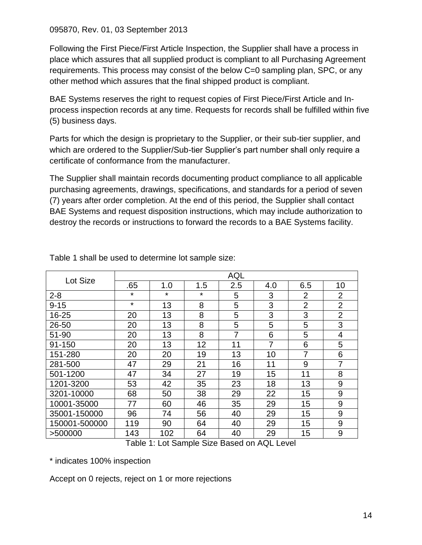Following the First Piece/First Article Inspection, the Supplier shall have a process in place which assures that all supplied product is compliant to all Purchasing Agreement requirements. This process may consist of the below C=0 sampling plan, SPC, or any other method which assures that the final shipped product is compliant.

BAE Systems reserves the right to request copies of First Piece/First Article and Inprocess inspection records at any time. Requests for records shall be fulfilled within five (5) business days.

Parts for which the design is proprietary to the Supplier, or their sub-tier supplier, and which are ordered to the Supplier/Sub-tier Supplier's part number shall only require a certificate of conformance from the manufacturer.

The Supplier shall maintain records documenting product compliance to all applicable purchasing agreements, drawings, specifications, and standards for a period of seven (7) years after order completion. At the end of this period, the Supplier shall contact BAE Systems and request disposition instructions, which may include authorization to destroy the records or instructions to forward the records to a BAE Systems facility.

| Lot Size      | <b>AQL</b> |         |         |     |     |                |                  |  |
|---------------|------------|---------|---------|-----|-----|----------------|------------------|--|
|               | .65        | 1.0     | 1.5     | 2.5 | 4.0 | 6.5            | 10               |  |
| $2 - 8$       | $\star$    | $\star$ | $\star$ | 5   | 3   | $\overline{2}$ | $\overline{2}$   |  |
| $9 - 15$      | $\star$    | 13      | 8       | 5   | 3   | $\overline{2}$ | $\overline{2}$   |  |
| 16-25         | 20         | 13      | 8       | 5   | 3   | 3              | $\overline{2}$   |  |
| 26-50         | 20         | 13      | 8       | 5   | 5   | 5              | 3                |  |
| 51-90         | 20         | 13      | 8       | 7   | 6   | 5              | 4                |  |
| 91-150        | 20         | 13      | 12      | 11  | 7   | 6              | 5                |  |
| 151-280       | 20         | 20      | 19      | 13  | 10  | 7              | 6                |  |
| 281-500       | 47         | 29      | 21      | 16  | 11  | 9              | $\overline{7}$   |  |
| 501-1200      | 47         | 34      | 27      | 19  | 15  | 11             | 8                |  |
| 1201-3200     | 53         | 42      | 35      | 23  | 18  | 13             | 9                |  |
| 3201-10000    | 68         | 50      | 38      | 29  | 22  | 15             | 9                |  |
| 10001-35000   | 77         | 60      | 46      | 35  | 29  | 15             | 9                |  |
| 35001-150000  | 96         | 74      | 56      | 40  | 29  | 15             | $\boldsymbol{9}$ |  |
| 150001-500000 | 119        | 90      | 64      | 40  | 29  | 15             | 9                |  |
| >500000       | 143        | 102     | 64      | 40  | 29  | 15             | 9                |  |

Table 1 shall be used to determine lot sample size:

Table 1: Lot Sample Size Based on AQL Level

\* indicates 100% inspection

Accept on 0 rejects, reject on 1 or more rejections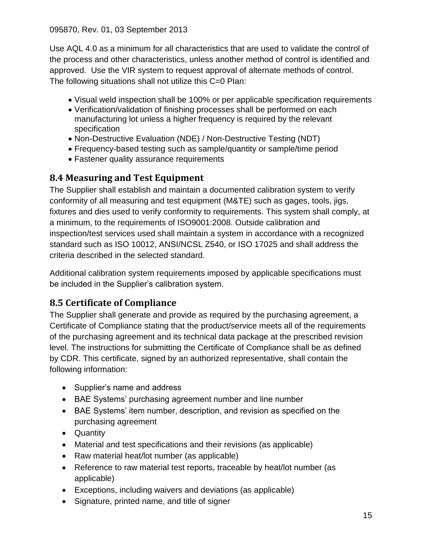Use AQL 4.0 as a minimum for all characteristics that are used to validate the control of the process and other characteristics, unless another method of control is identified and approved. Use the VIR system to request approval of alternate methods of control. The following situations shall not utilize this C=0 Plan:

- Visual weld inspection shall be 100% or per applicable specification requirements
- Verification/validation of finishing processes shall be performed on each manufacturing lot unless a higher frequency is required by the relevant specification
- Non-Destructive Evaluation (NDE) / Non-Destructive Testing (NDT)
- Frequency-based testing such as sample/quantity or sample/time period
- Fastener quality assurance requirements

#### <span id="page-14-0"></span>**8.4 Measuring and Test Equipment**

The Supplier shall establish and maintain a documented calibration system to verify conformity of all measuring and test equipment (M&TE) such as gages, tools, jigs, fixtures and dies used to verify conformity to requirements. This system shall comply, at a minimum, to the requirements of ISO9001:2008. Outside calibration and inspection/test services used shall maintain a system in accordance with a recognized standard such as ISO 10012, ANSI/NCSL Z540, or ISO 17025 and shall address the criteria described in the selected standard.

Additional calibration system requirements imposed by applicable specifications must be included in the Supplier's calibration system.

### <span id="page-14-1"></span>**8.5 Certificate of Compliance**

The Supplier shall generate and provide as required by the purchasing agreement, a Certificate of Compliance stating that the product/service meets all of the requirements of the purchasing agreement and its technical data package at the prescribed revision level. The instructions for submitting the Certificate of Compliance shall be as defined by CDR. This certificate, signed by an authorized representative, shall contain the following information:

- Supplier's name and address
- BAE Systems' purchasing agreement number and line number
- BAE Systems' item number, description, and revision as specified on the purchasing agreement
- Quantity
- Material and test specifications and their revisions (as applicable)
- Raw material heat/lot number (as applicable)
- Reference to raw material test reports, traceable by heat/lot number (as applicable)
- Exceptions, including waivers and deviations (as applicable)
- Signature, printed name, and title of signer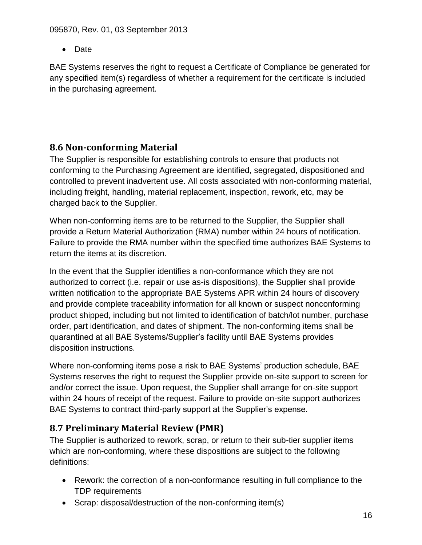• Date

<span id="page-15-0"></span>BAE Systems reserves the right to request a Certificate of Compliance be generated for any specified item(s) regardless of whether a requirement for the certificate is included in the purchasing agreement.

# **8.6 Non-conforming Material**

The Supplier is responsible for establishing controls to ensure that products not conforming to the Purchasing Agreement are identified, segregated, dispositioned and controlled to prevent inadvertent use. All costs associated with non-conforming material, including freight, handling, material replacement, inspection, rework, etc, may be charged back to the Supplier.

When non-conforming items are to be returned to the Supplier, the Supplier shall provide a Return Material Authorization (RMA) number within 24 hours of notification. Failure to provide the RMA number within the specified time authorizes BAE Systems to return the items at its discretion.

In the event that the Supplier identifies a non-conformance which they are not authorized to correct (i.e. repair or use as-is dispositions), the Supplier shall provide written notification to the appropriate BAE Systems APR within 24 hours of discovery and provide complete traceability information for all known or suspect nonconforming product shipped, including but not limited to identification of batch/lot number, purchase order, part identification, and dates of shipment. The non-conforming items shall be quarantined at all BAE Systems/Supplier's facility until BAE Systems provides disposition instructions.

Where non-conforming items pose a risk to BAE Systems' production schedule, BAE Systems reserves the right to request the Supplier provide on-site support to screen for and/or correct the issue. Upon request, the Supplier shall arrange for on-site support within 24 hours of receipt of the request. Failure to provide on-site support authorizes BAE Systems to contract third-party support at the Supplier's expense.

# <span id="page-15-1"></span>**8.7 Preliminary Material Review (PMR)**

The Supplier is authorized to rework, scrap, or return to their sub-tier supplier items which are non-conforming, where these dispositions are subject to the following definitions:

- Rework: the correction of a non-conformance resulting in full compliance to the TDP requirements
- Scrap: disposal/destruction of the non-conforming item(s)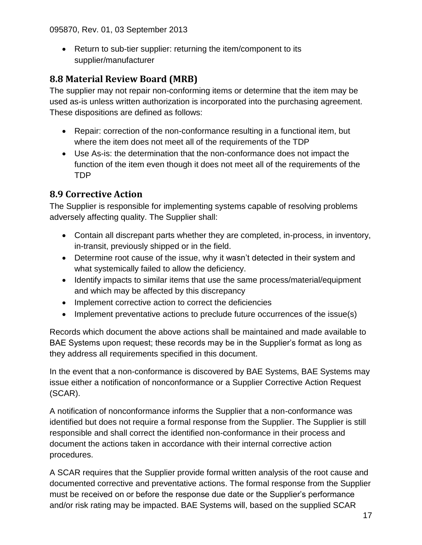Return to sub-tier supplier: returning the item/component to its supplier/manufacturer

# <span id="page-16-0"></span>**8.8 Material Review Board (MRB)**

The supplier may not repair non-conforming items or determine that the item may be used as-is unless written authorization is incorporated into the purchasing agreement. These dispositions are defined as follows:

- Repair: correction of the non-conformance resulting in a functional item, but where the item does not meet all of the requirements of the TDP
- Use As-is: the determination that the non-conformance does not impact the function of the item even though it does not meet all of the requirements of the TDP

# <span id="page-16-1"></span>**8.9 Corrective Action**

The Supplier is responsible for implementing systems capable of resolving problems adversely affecting quality. The Supplier shall:

- Contain all discrepant parts whether they are completed, in-process, in inventory, in-transit, previously shipped or in the field.
- Determine root cause of the issue, why it wasn't detected in their system and what systemically failed to allow the deficiency.
- Identify impacts to similar items that use the same process/material/equipment and which may be affected by this discrepancy
- Implement corrective action to correct the deficiencies
- Implement preventative actions to preclude future occurrences of the issue(s)

Records which document the above actions shall be maintained and made available to BAE Systems upon request; these records may be in the Supplier's format as long as they address all requirements specified in this document.

In the event that a non-conformance is discovered by BAE Systems, BAE Systems may issue either a notification of nonconformance or a Supplier Corrective Action Request (SCAR).

A notification of nonconformance informs the Supplier that a non-conformance was identified but does not require a formal response from the Supplier. The Supplier is still responsible and shall correct the identified non-conformance in their process and document the actions taken in accordance with their internal corrective action procedures.

A SCAR requires that the Supplier provide formal written analysis of the root cause and documented corrective and preventative actions. The formal response from the Supplier must be received on or before the response due date or the Supplier's performance and/or risk rating may be impacted. BAE Systems will, based on the supplied SCAR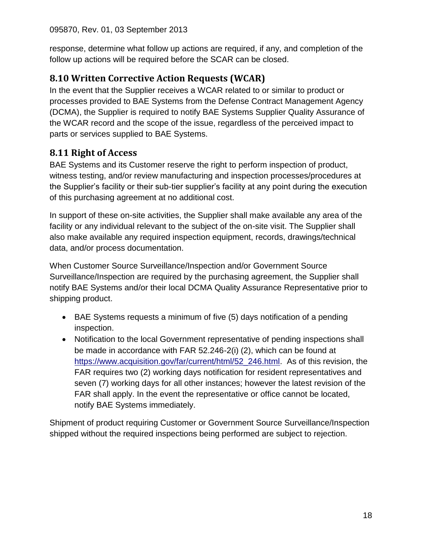response, determine what follow up actions are required, if any, and completion of the follow up actions will be required before the SCAR can be closed.

# <span id="page-17-0"></span>**8.10 Written Corrective Action Requests (WCAR)**

In the event that the Supplier receives a WCAR related to or similar to product or processes provided to BAE Systems from the Defense Contract Management Agency (DCMA), the Supplier is required to notify BAE Systems Supplier Quality Assurance of the WCAR record and the scope of the issue, regardless of the perceived impact to parts or services supplied to BAE Systems.

# <span id="page-17-1"></span>**8.11 Right of Access**

BAE Systems and its Customer reserve the right to perform inspection of product, witness testing, and/or review manufacturing and inspection processes/procedures at the Supplier's facility or their sub-tier supplier's facility at any point during the execution of this purchasing agreement at no additional cost.

In support of these on-site activities, the Supplier shall make available any area of the facility or any individual relevant to the subject of the on-site visit. The Supplier shall also make available any required inspection equipment, records, drawings/technical data, and/or process documentation.

When Customer Source Surveillance/Inspection and/or Government Source Surveillance/Inspection are required by the purchasing agreement, the Supplier shall notify BAE Systems and/or their local DCMA Quality Assurance Representative prior to shipping product.

- BAE Systems requests a minimum of five (5) days notification of a pending inspection.
- Notification to the local Government representative of pending inspections shall be made in accordance with FAR 52.246-2(i) (2), which can be found at [https://www.acquisition.gov/far/current/html/52\\_246.html.](https://www.acquisition.gov/far/current/html/52_246.html) As of this revision, the FAR requires two (2) working days notification for resident representatives and seven (7) working days for all other instances; however the latest revision of the FAR shall apply. In the event the representative or office cannot be located, notify BAE Systems immediately.

Shipment of product requiring Customer or Government Source Surveillance/Inspection shipped without the required inspections being performed are subject to rejection.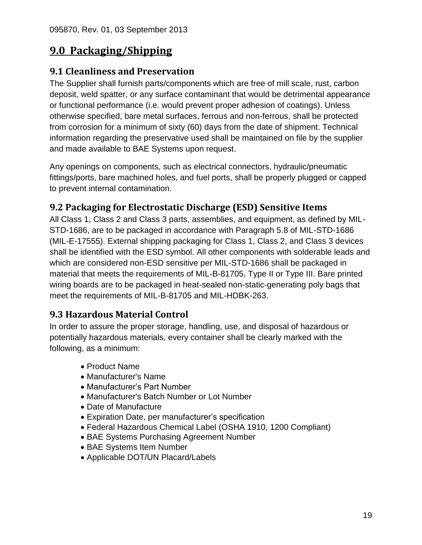# <span id="page-18-0"></span>**9.0 Packaging/Shipping**

#### <span id="page-18-1"></span>**9.1 Cleanliness and Preservation**

The Supplier shall furnish parts/components which are free of mill scale, rust, carbon deposit, weld spatter, or any surface contaminant that would be detrimental appearance or functional performance (i.e. would prevent proper adhesion of coatings). Unless otherwise specified, bare metal surfaces, ferrous and non-ferrous, shall be protected from corrosion for a minimum of sixty (60) days from the date of shipment. Technical information regarding the preservative used shall be maintained on file by the supplier and made available to BAE Systems upon request.

Any openings on components, such as electrical connectors, hydraulic/pneumatic fittings/ports, bare machined holes, and fuel ports, shall be properly plugged or capped to prevent internal contamination.

# <span id="page-18-2"></span>**9.2 Packaging for Electrostatic Discharge (ESD) Sensitive Items**

All Class 1, Class 2 and Class 3 parts, assemblies, and equipment, as defined by MIL-STD-1686, are to be packaged in accordance with Paragraph 5.8 of MIL-STD-1686 (MIL-E-17555). External shipping packaging for Class 1, Class 2, and Class 3 devices shall be identified with the ESD symbol. All other components with solderable leads and which are considered non-ESD sensitive per MIL-STD-1686 shall be packaged in material that meets the requirements of MIL-B-81705, Type II or Type III. Bare printed wiring boards are to be packaged in heat-sealed non-static-generating poly bags that meet the requirements of MIL-B-81705 and MIL-HDBK-263.

### <span id="page-18-3"></span>**9.3 Hazardous Material Control**

In order to assure the proper storage, handling, use, and disposal of hazardous or potentially hazardous materials, every container shall be clearly marked with the following, as a minimum:

- Product Name
- Manufacturer's Name
- Manufacturer's Part Number
- Manufacturer's Batch Number or Lot Number
- Date of Manufacture
- Expiration Date, per manufacturer's specification
- Federal Hazardous Chemical Label (OSHA 1910, 1200 Compliant)
- BAE Systems Purchasing Agreement Number
- BAE Systems Item Number
- Applicable DOT/UN Placard/Labels